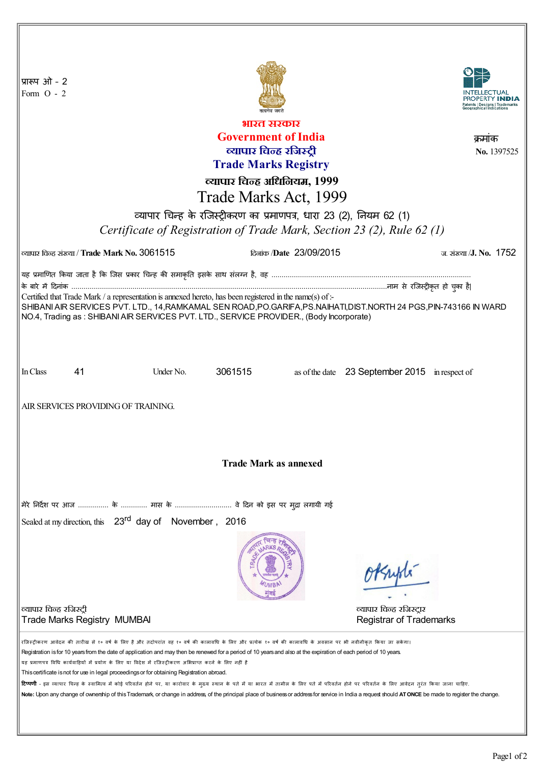| प्रारूप ओ - 2<br>Form $O - 2$                                                                                                                                                                                                                                                                                                                                                                                                                                                                                                                                                                                                                                                                                                                                                                                                                                                                                                                        |                      |                         |                                                            |
|------------------------------------------------------------------------------------------------------------------------------------------------------------------------------------------------------------------------------------------------------------------------------------------------------------------------------------------------------------------------------------------------------------------------------------------------------------------------------------------------------------------------------------------------------------------------------------------------------------------------------------------------------------------------------------------------------------------------------------------------------------------------------------------------------------------------------------------------------------------------------------------------------------------------------------------------------|----------------------|-------------------------|------------------------------------------------------------|
| भारत सरकार                                                                                                                                                                                                                                                                                                                                                                                                                                                                                                                                                                                                                                                                                                                                                                                                                                                                                                                                           |                      |                         |                                                            |
| <b>Government of India</b><br>क्रमाक                                                                                                                                                                                                                                                                                                                                                                                                                                                                                                                                                                                                                                                                                                                                                                                                                                                                                                                 |                      |                         |                                                            |
| व्यापार चिन्ह रजिस्ट्री                                                                                                                                                                                                                                                                                                                                                                                                                                                                                                                                                                                                                                                                                                                                                                                                                                                                                                                              |                      |                         | No. 1397525                                                |
| <b>Trade Marks Registry</b>                                                                                                                                                                                                                                                                                                                                                                                                                                                                                                                                                                                                                                                                                                                                                                                                                                                                                                                          |                      |                         |                                                            |
| व्यापार चिन्ह अधिनियम, 1999                                                                                                                                                                                                                                                                                                                                                                                                                                                                                                                                                                                                                                                                                                                                                                                                                                                                                                                          |                      |                         |                                                            |
| Trade Marks Act, 1999                                                                                                                                                                                                                                                                                                                                                                                                                                                                                                                                                                                                                                                                                                                                                                                                                                                                                                                                |                      |                         |                                                            |
| व्यापार चिन्ह के रजिस्ट्रीकरण का प्रमाणपत्र, धारा 23 (2), नियम 62 (1)                                                                                                                                                                                                                                                                                                                                                                                                                                                                                                                                                                                                                                                                                                                                                                                                                                                                                |                      |                         |                                                            |
| Certificate of Registration of Trade Mark, Section 23 (2), Rule 62 (1)                                                                                                                                                                                                                                                                                                                                                                                                                                                                                                                                                                                                                                                                                                                                                                                                                                                                               |                      |                         |                                                            |
| व्यापार चिन्ह संख्या / Trade Mark No. 3061515                                                                                                                                                                                                                                                                                                                                                                                                                                                                                                                                                                                                                                                                                                                                                                                                                                                                                                        |                      | दिलांक /Date 23/09/2015 | ज. संख्या /J. No. $1752$                                   |
| यह प्रमाणित किया जाता है कि जिस प्रकार चिन्ह की समाकृति इसके साथ संलग्न है, वह …………………………………………………………………………………                                                                                                                                                                                                                                                                                                                                                                                                                                                                                                                                                                                                                                                                                                                                                                                                                                       |                      |                         |                                                            |
|                                                                                                                                                                                                                                                                                                                                                                                                                                                                                                                                                                                                                                                                                                                                                                                                                                                                                                                                                      |                      |                         |                                                            |
| Certified that Trade Mark / a representation is annexed hereto, has been registered in the name(s) of :-<br>SHIBANI AIR SERVICES PVT. LTD., 14, RAMKAMAL SEN ROAD, PO.GARIFA, PS. NAIHATI, DIST. NORTH 24 PGS, PIN-743166 IN WARD<br>NO.4, Trading as: SHIBANI AIR SERVICES PVT. LTD., SERVICE PROVIDER., (Body Incorporate)                                                                                                                                                                                                                                                                                                                                                                                                                                                                                                                                                                                                                         |                      |                         |                                                            |
| In Class<br>41                                                                                                                                                                                                                                                                                                                                                                                                                                                                                                                                                                                                                                                                                                                                                                                                                                                                                                                                       | Under No.<br>3061515 |                         | as of the date 23 September 2015 in respect of             |
| AIR SERVICES PROVIDING OF TRAINING.                                                                                                                                                                                                                                                                                                                                                                                                                                                                                                                                                                                                                                                                                                                                                                                                                                                                                                                  |                      |                         |                                                            |
| <b>Trade Mark as annexed</b>                                                                                                                                                                                                                                                                                                                                                                                                                                                                                                                                                                                                                                                                                                                                                                                                                                                                                                                         |                      |                         |                                                            |
| मेरे निर्देश पर आज  के  मास के  वे दिन को इस पर मुद्रा लगायी गई                                                                                                                                                                                                                                                                                                                                                                                                                                                                                                                                                                                                                                                                                                                                                                                                                                                                                      |                      |                         |                                                            |
| Sealed at my direction, this 23 <sup>rd</sup> day of November, 2016                                                                                                                                                                                                                                                                                                                                                                                                                                                                                                                                                                                                                                                                                                                                                                                                                                                                                  |                      |                         |                                                            |
|                                                                                                                                                                                                                                                                                                                                                                                                                                                                                                                                                                                                                                                                                                                                                                                                                                                                                                                                                      |                      |                         | OPSupte                                                    |
| व्यापार चिन्ह रजिस्ट्री<br><b>Trade Marks Registry MUMBAI</b>                                                                                                                                                                                                                                                                                                                                                                                                                                                                                                                                                                                                                                                                                                                                                                                                                                                                                        |                      |                         | व्यापार चिन्ह रजिस्ट्रार<br><b>Registrar of Trademarks</b> |
| रजिस्ट्रीकरण आवेदन की तारीख से १० वर्ष के लिए है और तदोपरांत वह १० वर्ष की कालावधि के शिर पटेक १० वर्ष की कालावधि के अवसान पर भी नवीनीकृत किया जा सकेगा।<br>Registration is for 10 years from the date of application and may then be renewed for a period of 10 years and also at the expiration of each period of 10 years.<br>यह प्रमाणपत्र विधि कार्यवाहियों में प्रयोग के लिए या विदेश में रजिस्ट्रीकरण अभिप्राप्त करने के लिए नहीं है<br>This certificate is not for use in legal proceedings or for obtaining Registration abroad.<br><mark>टिप्पणी</mark> - इस व्यापार चिन्ह के स्वामित्व में कोई परिवर्तन होने पर, या कारोवार के मुक्त करने में जाति के लिए पते में परिवर्तन होने पर परिवर्तन के लिए आवेदन तुरंत किया जाना चाहिए.<br>Note: Upon any change of ownership of this Trademark, or change in address, of the principal place of business or address for service in India a request should ATONCE be made to register the change. |                      |                         |                                                            |
|                                                                                                                                                                                                                                                                                                                                                                                                                                                                                                                                                                                                                                                                                                                                                                                                                                                                                                                                                      |                      |                         |                                                            |